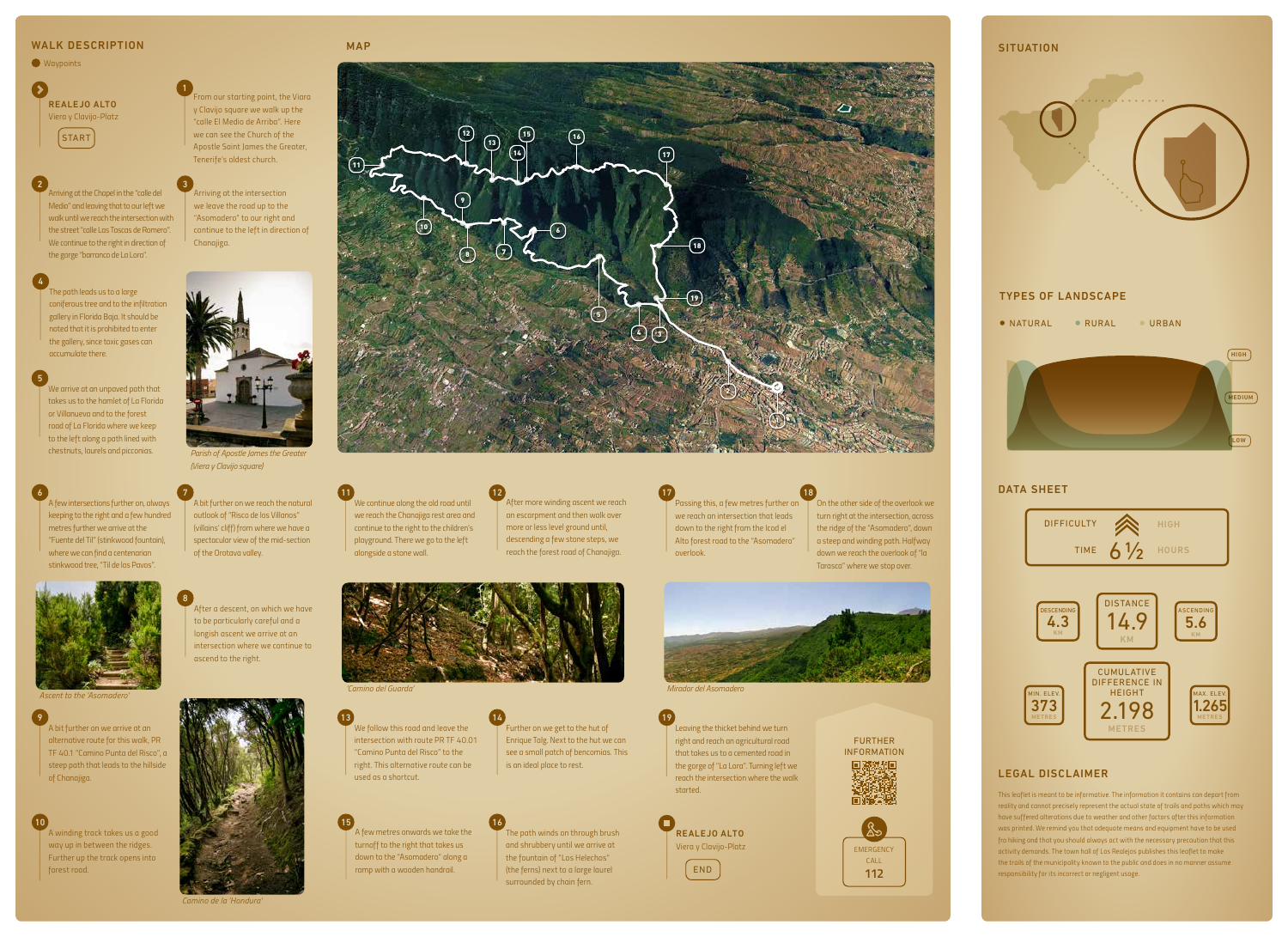*We arrive at an unpaved path that takes us to the hamlet of La Florida or Villanueva and to the forest road of La Florida where we keep to the left along a path lined with chestnuts, laurels and picconias.*

*Arriving at the intersection we leave the road up to the "Asomadero" to our right and continue to the left in direction of Chanajiga.*

> *This leaflet is meant to be informative. The information it contains can depart from reality and cannot precisely represent the actual state of trails and paths which may have suffered alterations due to weather and other factors after this information was printed. We remind you that adequate means and equipment have to be used fro hiking and that you should always act with the necessary precaution that this activity demands. The town hall of Los Realejos publishes this leaflet to make the trails of the municipality known to the public and does in no manner assume responsibility for its incorrect or negligent usage.*

## LEGAL DISCLAIMER







*A bit further on we reach the natural outlook of "Risco de los Villanos" (villains' cliff) from where we have a spectacular view of the mid-section of the Orotava valley.*

7

*A few intersections further on, always keeping to the right and a few hundred metres further we arrive at the "Fuente del Til" (stinkwood fountain), where we can find a centenarian stinkwood tree, "Til de los Pavos".*



to the *'Asor*'

6

*We follow this road and leave the intersection with route PR TF 40.01 "Camino Punta del Risco" to the right. This alternative route can be used as a shortcut.* 13

*Arriving at the Chapel in the "calle del Medio" and leaving that to our left we walk until we reach the intersection with the street "calle Las Toscas de Romero". We continue to the right in direction of the gorge "barranco de La Lora".* 2 3

 $\Omega$ REALEJO ALTO *Viera y Clavijo-Platz*

12

*A bit further on we arrive at an alternative route for this walk, PR TF 40.1 "Camino Punta del Risco", a steep path that leads to the hillside of Chanajiga.*

9

*Leaving the thicket behind we turn right and reach an agricultural road that takes us to a cemented road in the gorge of "La Lora". Turning left we reach the intersection where the walk started.*  19





*ascend to the right.* 

8

*We continue along the old road until we reach the Chanajiga rest area and continue to the right to the children's playground. There we go to the left* 

*After more winding ascent we reach an escarpment and then walk over more or less level ground until, descending a few stone steps, we reach the forest road of Chanajiga. overlook.* 17

*alongside a stone wall.* 

11

*A winding track takes us a good way up in between the ridges. Further up the track opens into forest road.*

10

*A few metres onwards we take the turnoff to the right that takes us down to the "Asomadero" along a ramp with a wooden handrail.*

15



*Passing this, a few metres further on On the other side of the overlook we we reach an intersection that leads down to the right from the Icod el Alto forest road to the "Asomadero"* 

*The path winds on through brush and shrubbery until we arrive at the fountain of "Los Helechos" (the ferns) next to a large laurel surrounded by chain fern.*

16

*turn right at the intersection, across the ridge of the "Asomadero", down a steep and winding path. Halfway down we reach the overlook of "la Tarasca" where we stop over.*



18

### WALK DESCRIPTION

*Waypoints*

5

*The path leads us to a large coniferous tree and to the infiltration gallery in Florida Baja. It should be noted that it is prohibited to enter the gallery, since toxic gases can accumulate there.*

4

*From our starting point, the Viara y Clavijo square we walk up the "calle El Medio de Arriba". Here we can see the Church of the Apostle Saint James the Greater, Tenerife's oldest church.*

1

START





*Parish of Apostle James the Greater (Viera y Clavijo square)*

*'Camino del Guarda' Mirador del Asomadero*